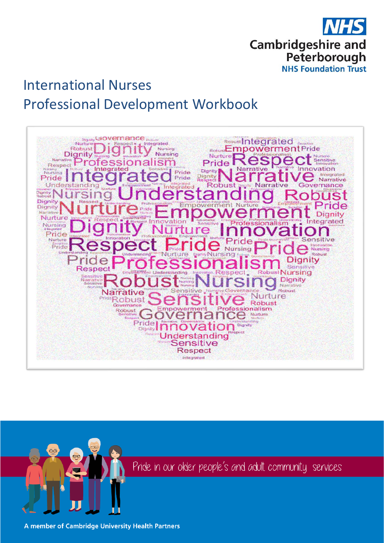

# International Nurses Professional Development Workbook





Pride in our older people's and adult community services

A member of Cambridge University Health Partners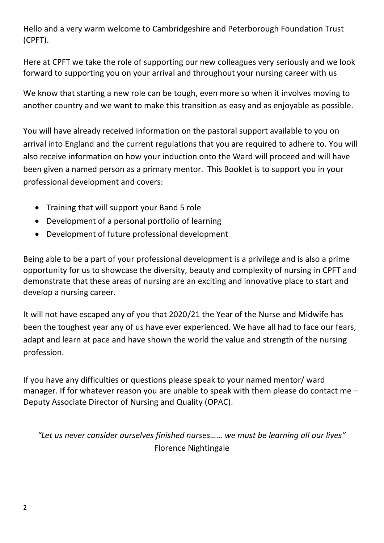Hello and a very warm welcome to Cambridgeshire and Peterborough Foundation Trust (CPFT).

Here at CPFT we take the role of supporting our new colleagues very seriously and we look forward to supporting you on your arrival and throughout your nursing career with us

We know that starting a new role can be tough, even more so when it involves moving to another country and we want to make this transition as easy and as enjoyable as possible.

You will have already received information on the pastoral support available to you on arrival into England and the current regulations that you are required to adhere to. You will also receive information on how your induction onto the Ward will proceed and will have been given a named person as a primary mentor. This Booklet is to support you in your professional development and covers:

- Training that will support your Band 5 role
- Development of a personal portfolio of learning
- Development of future professional development

Being able to be a part of your professional development is a privilege and is also a prime opportunity for us to showcase the diversity, beauty and complexity of nursing in CPFT and demonstrate that these areas of nursing are an exciting and innovative place to start and develop a nursing career.

It will not have escaped any of you that 2020/21 the Year of the Nurse and Midwife has been the toughest year any of us have ever experienced. We have all had to face our fears, adapt and learn at pace and have shown the world the value and strength of the nursing profession.

If you have any difficulties or questions please speak to your named mentor/ ward manager. If for whatever reason you are unable to speak with them please do contact me – Deputy Associate Director of Nursing and Quality (OPAC).

*"Let us never consider ourselves finished nurses…… we must be learning all our lives"*  Florence Nightingale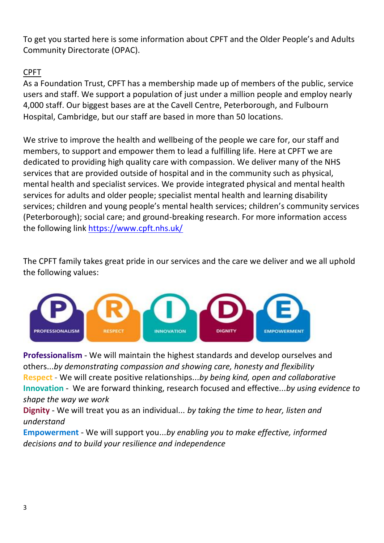To get you started here is some information about CPFT and the Older People's and Adults Community Directorate (OPAC).

# CPFT

As a Foundation Trust, CPFT has a membership made up of members of the public, service users and staff. We support a population of just under a million people and employ nearly 4,000 staff. Our biggest bases are at the Cavell Centre, Peterborough, and Fulbourn Hospital, Cambridge, but our staff are based in more than 50 locations.

We strive to improve the health and wellbeing of the people we care for, our staff and members, to support and empower them to lead a fulfilling life. Here at CPFT we are dedicated to providing high quality care with compassion. We deliver many of the NHS services that are provided outside of hospital and in the community such as physical, mental health and specialist services. We provide integrated physical and mental health services for adults and older people; specialist mental health and learning disability services; children and young people's mental health services; children's community services (Peterborough); social care; and ground-breaking research. For more information access the following link<https://www.cpft.nhs.uk/>

The CPFT family takes great pride in our services and the care we deliver and we all uphold the following values:



**Professionalism -** We will maintain the highest standards and develop ourselves and others...*by demonstrating compassion and showing care, honesty and flexibility* **Respect** - We will create positive relationships...*by being kind, open and collaborative* **Innovation -** We are forward thinking, research focused and effective...*by using evidence to shape the way we work*

**Dignity -** We will treat you as an individual... *by taking the time to hear, listen and understand*

**Empowerment -** We will support you...*by enabling you to make effective, informed decisions and to build your resilience and independence*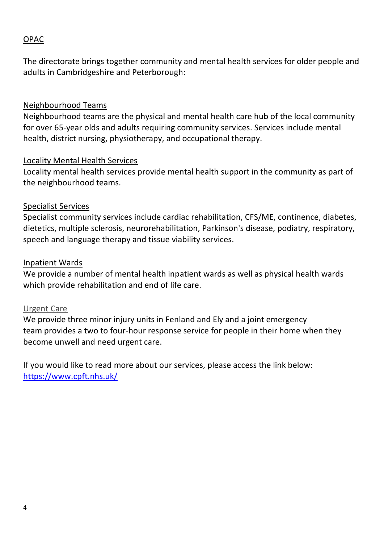# OPAC

The directorate brings together community and mental health services for older people and adults in Cambridgeshire and Peterborough:

#### Neighbourhood Teams

Neighbourhood teams are the physical and mental health care hub of the local community for over 65-year olds and adults requiring community services. Services include mental health, district nursing, physiotherapy, and occupational therapy.

#### Locality Mental Health Services

Locality mental health services provide mental health support in the community as part of the neighbourhood teams.

#### Specialist Services

Specialist community services include cardiac rehabilitation, CFS/ME, continence, diabetes, dietetics, multiple sclerosis, neurorehabilitation, Parkinson's disease, podiatry, respiratory, speech and language therapy and tissue viability services.

#### Inpatient Wards

We provide a number of mental health inpatient wards as well as physical health wards which provide rehabilitation and end of life care.

#### Urgent Care

We provide three minor injury units in Fenland and Ely and a joint emergency team provides a two to four-hour response service for people in their home when they become unwell and need urgent care.

If you would like to read more about our services, please access the link below: <https://www.cpft.nhs.uk/>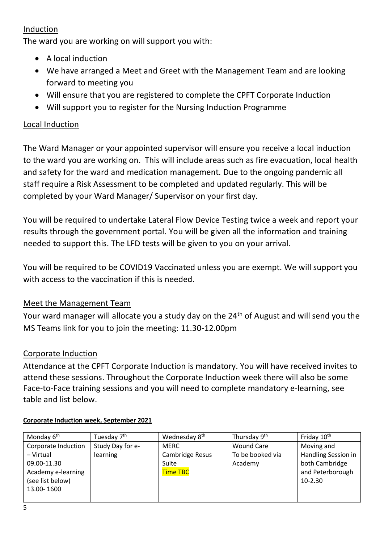## Induction

The ward you are working on will support you with:

- A local induction
- We have arranged a Meet and Greet with the Management Team and are looking forward to meeting you
- Will ensure that you are registered to complete the CPFT Corporate Induction
- Will support you to register for the Nursing Induction Programme

# Local Induction

The Ward Manager or your appointed supervisor will ensure you receive a local induction to the ward you are working on. This will include areas such as fire evacuation, local health and safety for the ward and medication management. Due to the ongoing pandemic all staff require a Risk Assessment to be completed and updated regularly. This will be completed by your Ward Manager/ Supervisor on your first day.

You will be required to undertake Lateral Flow Device Testing twice a week and report your results through the government portal. You will be given all the information and training needed to support this. The LFD tests will be given to you on your arrival.

You will be required to be COVID19 Vaccinated unless you are exempt. We will support you with access to the vaccination if this is needed.

# Meet the Management Team

Your ward manager will allocate you a study day on the 24<sup>th</sup> of August and will send you the MS Teams link for you to join the meeting: 11.30-12.00pm

# Corporate Induction

Attendance at the CPFT Corporate Induction is mandatory. You will have received invites to attend these sessions. Throughout the Corporate Induction week there will also be some Face-to-Face training sessions and you will need to complete mandatory e-learning, see table and list below.

| Monday 6 <sup>th</sup> | Tuesday 7 <sup>th</sup> | Wednesday 8 <sup>th</sup> | Thursday 9 <sup>th</sup> | Friday 10 <sup>th</sup> |
|------------------------|-------------------------|---------------------------|--------------------------|-------------------------|
| Corporate Induction    | Study Day for e-        | <b>MERC</b>               | Wound Care               | Moving and              |
| - Virtual              | learning                | Cambridge Resus           | To be booked via         | Handling Session in     |
| 09.00-11.30            |                         | Suite                     | Academy                  | both Cambridge          |
| Academy e-learning     |                         | <b>Time TBC</b>           |                          | and Peterborough        |
| (see list below)       |                         |                           |                          | 10-2.30                 |
| 13.00-1600             |                         |                           |                          |                         |
|                        |                         |                           |                          |                         |

# **Corporate Induction week, September 2021**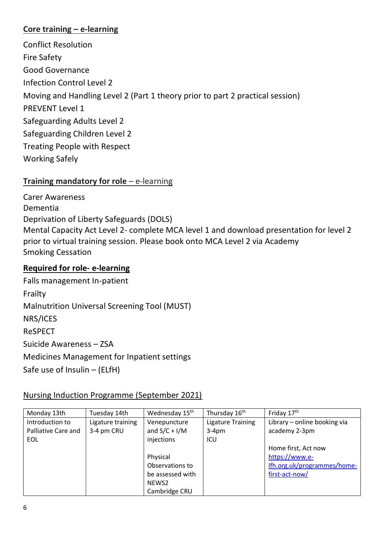## **Core training – e-learning**

[Conflict Resolution](https://learning.cpft.nhs.uk/mod/url/view.php?id=15834) [Fire Safety](https://learning.cpft.nhs.uk/mod/url/view.php?id=15835) [Good Governance](https://learning.cpft.nhs.uk/mod/url/view.php?id=15836) [Infection Control Level 2](https://learning.cpft.nhs.uk/course/index.php?categoryid=52) [Moving and Handling Level 2](https://learning.cpft.nhs.uk/course/index.php?categoryid=25) (Part 1 theory prior to part 2 practical session) [PREVENT Level 1](https://learning.cpft.nhs.uk/mod/url/view.php?id=15841) [Safeguarding Adults Level 2](https://learning.cpft.nhs.uk/course/index.php?categoryid=53) [Safeguarding Children Level 2](https://learning.cpft.nhs.uk/mod/url/view.php?id=15847) [Treating People with Respect](https://learning.cpft.nhs.uk/mod/url/view.php?id=15844) [Working Safely](https://learning.cpft.nhs.uk/mod/url/view.php?id=15845)

# **Training mandatory for role** – e-learning

[Carer Awareness](https://learning.cpft.nhs.uk/mod/url/view.php?id=15787) [Dementia](https://learning.cpft.nhs.uk/mod/url/view.php?id=15793) [Deprivation of Liberty Safeguards \(DOLS\)](https://learning.cpft.nhs.uk/mod/url/view.php?id=15794) [Mental Capacity Act Level 2-](https://learning.cpft.nhs.uk/mod/url/view.php?id=15796) complete MCA level 1 and download presentation for level 2 prior to virtual training session. Please book onto MCA Level 2 via Academy [Smoking Cessation](https://learning.cpft.nhs.uk/mod/url/view.php?id=15828)

# **Required for role- e-learning**

Falls management In-patient Frailty Malnutrition Universal Screening Tool (MUST) NRS/ICES ReSPECT Suicide Awareness – ZSA Medicines Management for Inpatient settings Safe use of Insulin – (ELfH)

# Nursing Induction Programme (September 2021)

| Monday 13th         | Tuesday 14th      | Wednesday 15 <sup>th</sup> | Thursday 16 <sup>th</sup> | Friday 17 <sup>th</sup>      |
|---------------------|-------------------|----------------------------|---------------------------|------------------------------|
| Introduction to     | Ligature training | Venepuncture               | <b>Ligature Training</b>  | Library - online booking via |
| Palliative Care and | 3-4 pm CRU        | and $S/C + I/M$            | $3-4pm$                   | academy 2-3pm                |
| EOL                 |                   | injections                 | ICU                       |                              |
|                     |                   |                            |                           | Home first, Act now          |
|                     |                   | Physical                   |                           | https://www.e-               |
|                     |                   | Observations to            |                           | Ifh.org.uk/programmes/home-  |
|                     |                   | be assessed with           |                           | first-act-now/               |
|                     |                   | NEWS2                      |                           |                              |
|                     |                   | Cambridge CRU              |                           |                              |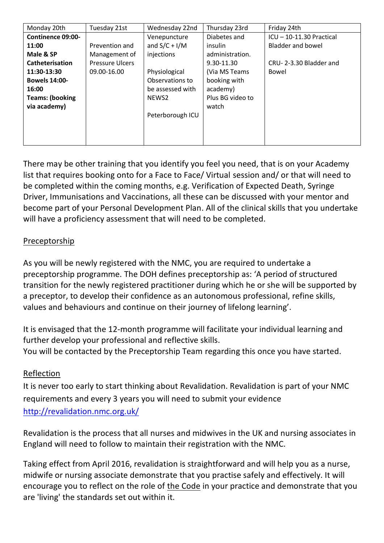| Monday 20th              | Tuesday 21st           | Wednesday 22nd   | Thursday 23rd    | Friday 24th              |
|--------------------------|------------------------|------------------|------------------|--------------------------|
| <b>Continence 09:00-</b> |                        | Venepuncture     | Diabetes and     | ICU - 10-11.30 Practical |
| 11:00                    | Prevention and         | and $S/C + I/M$  | insulin          | Bladder and bowel        |
| Male & SP                | Management of          | injections       | administration.  |                          |
| Catheterisation          | <b>Pressure Ulcers</b> |                  | 9.30-11.30       | CRU-2-3.30 Bladder and   |
| 11:30-13:30              | 09.00-16.00            | Physiological    | (Via MS Teams    | Bowel                    |
| <b>Bowels 14:00-</b>     |                        | Observations to  | booking with     |                          |
| 16:00                    |                        | be assessed with | academy)         |                          |
| <b>Teams: (booking</b>   |                        | NEWS2            | Plus BG video to |                          |
| via academy)             |                        |                  | watch            |                          |
|                          |                        | Peterborough ICU |                  |                          |
|                          |                        |                  |                  |                          |
|                          |                        |                  |                  |                          |
|                          |                        |                  |                  |                          |

There may be other training that you identify you feel you need, that is on your Academy list that requires booking onto for a Face to Face/ Virtual session and/ or that will need to be completed within the coming months, e.g. Verification of Expected Death, Syringe Driver, Immunisations and Vaccinations, all these can be discussed with your mentor and become part of your Personal Development Plan. All of the clinical skills that you undertake will have a proficiency assessment that will need to be completed.

# Preceptorship

As you will be newly registered with the NMC, you are required to undertake a preceptorship programme. The DOH defines preceptorship as: 'A period of structured transition for the newly registered practitioner during which he or she will be supported by a preceptor, to develop their confidence as an autonomous professional, refine skills, values and behaviours and continue on their journey of lifelong learning'.

It is envisaged that the 12-month programme will facilitate your individual learning and further develop your professional and reflective skills. You will be contacted by the Preceptorship Team regarding this once you have started.

# Reflection

It is never too early to start thinking about Revalidation. Revalidation is part of your NMC requirements and every 3 years you will need to submit your evidence <http://revalidation.nmc.org.uk/>

Revalidation is the process that all nurses and midwives in the UK and nursing associates in England will need to follow to maintain their registration with the NMC.

Taking effect from April 2016, revalidation is straightforward and will help you as a nurse, midwife or nursing associate demonstrate that you practise safely and effectively. It will encourage you to reflect on the role of [the Code](http://www.nmc.org.uk/globalassets/sitedocuments/nmc-publications/nmc-code.pdf) in your practice and demonstrate that you are 'living' the standards set out within it.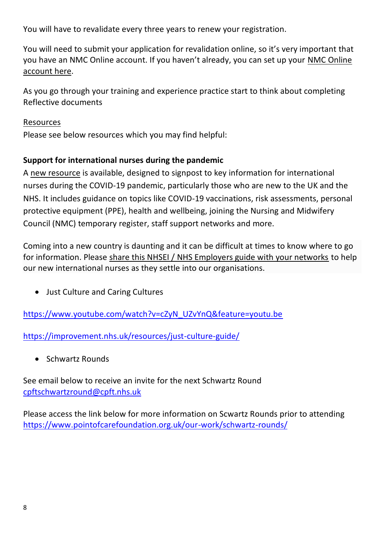You will have to revalidate every three years to renew your registration.

You will need to submit your application for revalidation online, so it's very important that you have an NMC Online account. If you haven't already, you can set up your [NMC Online](http://www.nmc.org.uk/registration/nmc-online/)  [account here.](http://www.nmc.org.uk/registration/nmc-online/)

As you go through your training and experience practice start to think about completing Reflective documents

## **Resources**

Please see below resources which you may find helpful:

# **Support for international nurses during the pandemic**

A [new resource](https://cnobulletin.cmail20.com/t/d-l-qldirdk-ttdluylldd-u/) is available, designed to signpost to key information for international nurses during the COVID-19 pandemic, particularly those who are new to the UK and the NHS. It includes guidance on topics like COVID-19 vaccinations, risk assessments, personal protective equipment (PPE), health and wellbeing, joining the Nursing and Midwifery Council (NMC) temporary register, staff support networks and more.

Coming into a new country is daunting and it can be difficult at times to know where to go for information. Please [share this NHSEI / NHS Employers guide with your networks](https://cnobulletin.cmail20.com/t/d-l-qldirdk-ttdluylldd-o/) to help our new international nurses as they settle into our organisations.

• Just Culture and Caring Cultures

[https://www.youtube.com/watch?v=cZyN\\_UZvYnQ&feature=youtu.be](https://www.youtube.com/watch?v=cZyN_UZvYnQ&feature=youtu.be)

<https://improvement.nhs.uk/resources/just-culture-guide/>

• Schwartz Rounds

See email below to receive an invite for the next Schwartz Round [cpftschwartzround@cpft.nhs.uk](mailto:cpftschwartzround@cpft.nhs.uk)

Please access the link below for more information on Scwartz Rounds prior to attending <https://www.pointofcarefoundation.org.uk/our-work/schwartz-rounds/>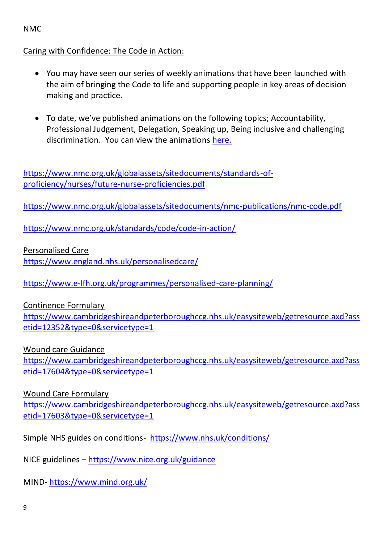# NMC

#### Caring with Confidence: The Code in Action:

- You may have seen our series of weekly animations that have been launched with the aim of bringing the Code to life and supporting people in key areas of decision making and practice.
- To date, we've published animations on the following topics; Accountability, Professional Judgement, Delegation, Speaking up, Being inclusive and challenging discrimination. You can view the animations [here.](https://www.nmc.org.uk/standards/code/code-in-action/)

[https://www.nmc.org.uk/globalassets/sitedocuments/standards-of](https://www.nmc.org.uk/globalassets/sitedocuments/standards-of-proficiency/nurses/future-nurse-proficiencies.pdf)[proficiency/nurses/future-nurse-proficiencies.pdf](https://www.nmc.org.uk/globalassets/sitedocuments/standards-of-proficiency/nurses/future-nurse-proficiencies.pdf)

<https://www.nmc.org.uk/globalassets/sitedocuments/nmc-publications/nmc-code.pdf>

<https://www.nmc.org.uk/standards/code/code-in-action/>

Personalised Care

<https://www.england.nhs.uk/personalisedcare/>

<https://www.e-lfh.org.uk/programmes/personalised-care-planning/>

Continence Formulary

[https://www.cambridgeshireandpeterboroughccg.nhs.uk/easysiteweb/getresource.axd?ass](https://www.cambridgeshireandpeterboroughccg.nhs.uk/easysiteweb/getresource.axd?assetid=12352&type=0&servicetype=1) [etid=12352&type=0&servicetype=1](https://www.cambridgeshireandpeterboroughccg.nhs.uk/easysiteweb/getresource.axd?assetid=12352&type=0&servicetype=1)

Wound care Guidance

[https://www.cambridgeshireandpeterboroughccg.nhs.uk/easysiteweb/getresource.axd?ass](https://www.cambridgeshireandpeterboroughccg.nhs.uk/easysiteweb/getresource.axd?assetid=17604&type=0&servicetype=1) [etid=17604&type=0&servicetype=1](https://www.cambridgeshireandpeterboroughccg.nhs.uk/easysiteweb/getresource.axd?assetid=17604&type=0&servicetype=1)

Wound Care Formulary

[https://www.cambridgeshireandpeterboroughccg.nhs.uk/easysiteweb/getresource.axd?ass](https://www.cambridgeshireandpeterboroughccg.nhs.uk/easysiteweb/getresource.axd?assetid=17603&type=0&servicetype=1) [etid=17603&type=0&servicetype=1](https://www.cambridgeshireandpeterboroughccg.nhs.uk/easysiteweb/getresource.axd?assetid=17603&type=0&servicetype=1)

Simple NHS guides on conditions- <https://www.nhs.uk/conditions/>

NICE guidelines – <https://www.nice.org.uk/guidance>

MIND- <https://www.mind.org.uk/>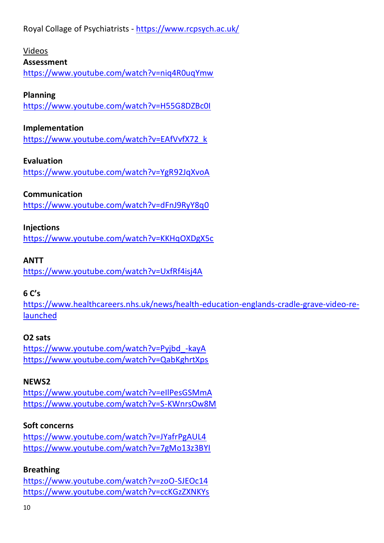Royal Collage of Psychiatrists - <https://www.rcpsych.ac.uk/>

# Videos

## **Assessment**

<https://www.youtube.com/watch?v=niq4R0uqYmw>

## **Planning**

<https://www.youtube.com/watch?v=H55G8DZBc0I>

## **Implementation**

[https://www.youtube.com/watch?v=EAfVvfX72\\_k](https://www.youtube.com/watch?v=EAfVvfX72_k)

## **Evaluation**

<https://www.youtube.com/watch?v=YgR92JqXvoA>

## **Communication**

<https://www.youtube.com/watch?v=dFnJ9RyY8q0>

## **Injections**

<https://www.youtube.com/watch?v=KKHqOXDgX5c>

## **ANTT**

<https://www.youtube.com/watch?v=UxfRf4isj4A>

## **6 C's**

[https://www.healthcareers.nhs.uk/news/health-education-englands-cradle-grave-video-re](https://www.healthcareers.nhs.uk/news/health-education-englands-cradle-grave-video-re-launched)[launched](https://www.healthcareers.nhs.uk/news/health-education-englands-cradle-grave-video-re-launched)

## **O2 sats**

[https://www.youtube.com/watch?v=Pyjbd\\_-kayA](https://www.youtube.com/watch?v=Pyjbd_-kayA) <https://www.youtube.com/watch?v=QabKghrtXps>

# **NEWS2**

<https://www.youtube.com/watch?v=eIlPesGSMmA> <https://www.youtube.com/watch?v=S-KWnrsOw8M>

## **Soft concerns**

<https://www.youtube.com/watch?v=JYafrPgAUL4> <https://www.youtube.com/watch?v=7gMo13z3BYI>

## **Breathing**

<https://www.youtube.com/watch?v=zoO-SJEOc14> <https://www.youtube.com/watch?v=ccKGzZXNKYs>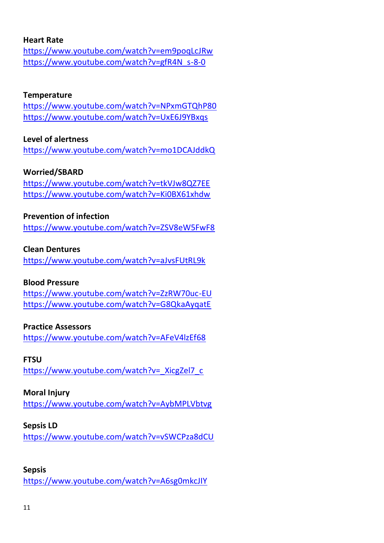#### **Heart Rate**

<https://www.youtube.com/watch?v=em9poqLcJRw> [https://www.youtube.com/watch?v=gfR4N\\_s-8-0](https://www.youtube.com/watch?v=gfR4N_s-8-0)

#### **Temperature**

<https://www.youtube.com/watch?v=NPxmGTQhP80> <https://www.youtube.com/watch?v=UxE6J9YBxqs>

## **Level of alertness**

<https://www.youtube.com/watch?v=mo1DCAJddkQ>

#### **Worried/SBARD**

<https://www.youtube.com/watch?v=tkVJw8QZ7EE> <https://www.youtube.com/watch?v=Ki0BX61xhdw>

#### **Prevention of infection**

<https://www.youtube.com/watch?v=ZSV8eW5FwF8>

#### **Clean Dentures**

<https://www.youtube.com/watch?v=aJvsFUtRL9k>

#### **Blood Pressure**

<https://www.youtube.com/watch?v=ZzRW70uc-EU> <https://www.youtube.com/watch?v=G8QkaAyqatE>

#### **Practice Assessors**

<https://www.youtube.com/watch?v=AFeV4lzEf68>

#### **FTSU**

[https://www.youtube.com/watch?v=\\_XicgZel7\\_c](https://www.youtube.com/watch?v=_XicgZel7_c)

#### **Moral Injury**

<https://www.youtube.com/watch?v=AybMPLVbtvg>

#### **Sepsis LD**

<https://www.youtube.com/watch?v=vSWCPza8dCU>

#### **Sepsis**

<https://www.youtube.com/watch?v=A6sg0mkcJIY>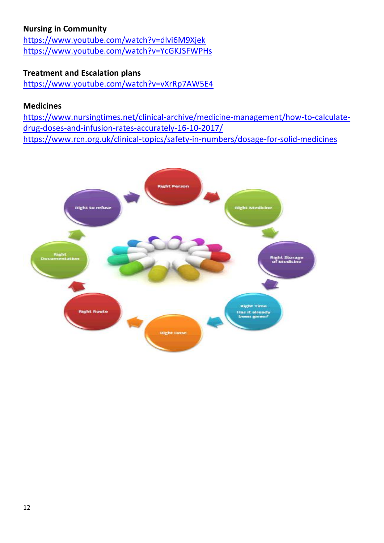# **Nursing in Community**

<https://www.youtube.com/watch?v=dlvi6M9Xjek> <https://www.youtube.com/watch?v=YcGKJSFWPHs>

## **Treatment and Escalation plans**

<https://www.youtube.com/watch?v=vXrRp7AW5E4>

#### **Medicines**

[https://www.nursingtimes.net/clinical-archive/medicine-management/how-to-calculate](https://www.nursingtimes.net/clinical-archive/medicine-management/how-to-calculate-drug-doses-and-infusion-rates-accurately-16-10-2017/)[drug-doses-and-infusion-rates-accurately-16-10-2017/](https://www.nursingtimes.net/clinical-archive/medicine-management/how-to-calculate-drug-doses-and-infusion-rates-accurately-16-10-2017/) <https://www.rcn.org.uk/clinical-topics/safety-in-numbers/dosage-for-solid-medicines>